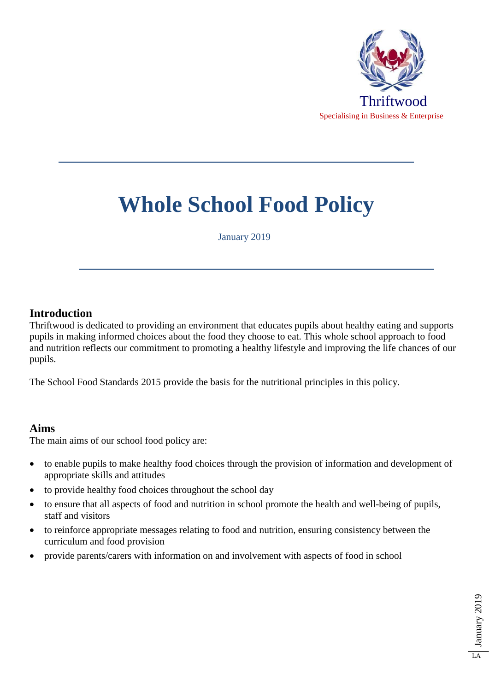

# **Whole School Food Policy**

January 2019

#### **Introduction**

Thriftwood is dedicated to providing an environment that educates pupils about healthy eating and supports pupils in making informed choices about the food they choose to eat. This whole school approach to food and nutrition reflects our commitment to promoting a healthy lifestyle and improving the life chances of our pupils.

The School Food Standards 2015 provide the basis for the nutritional principles in this policy.

#### **Aims**

The main aims of our school food policy are:

- to enable pupils to make healthy food choices through the provision of information and development of appropriate skills and attitudes
- to provide healthy food choices throughout the school day
- to ensure that all aspects of food and nutrition in school promote the health and well-being of pupils, staff and visitors
- to reinforce appropriate messages relating to food and nutrition, ensuring consistency between the curriculum and food provision
- provide parents/carers with information on and involvement with aspects of food in school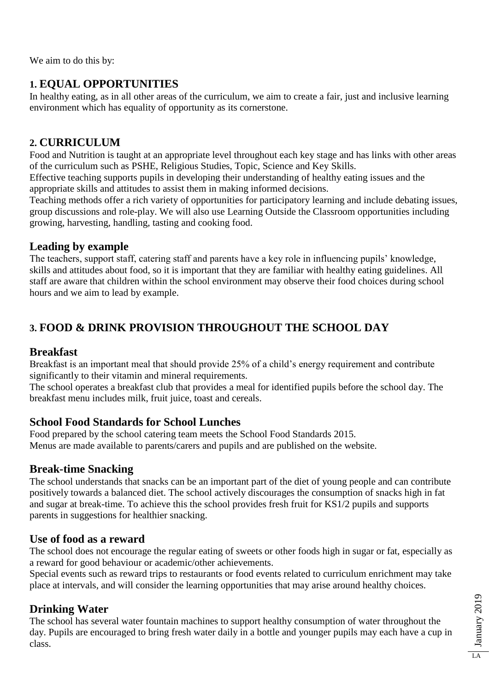We aim to do this by:

# **1. EQUAL OPPORTUNITIES**

In healthy eating, as in all other areas of the curriculum, we aim to create a fair, just and inclusive learning environment which has equality of opportunity as its cornerstone.

## **2. CURRICULUM**

Food and Nutrition is taught at an appropriate level throughout each key stage and has links with other areas of the curriculum such as PSHE, Religious Studies, Topic, Science and Key Skills.

Effective teaching supports pupils in developing their understanding of healthy eating issues and the appropriate skills and attitudes to assist them in making informed decisions.

Teaching methods offer a rich variety of opportunities for participatory learning and include debating issues, group discussions and role-play. We will also use Learning Outside the Classroom opportunities including growing, harvesting, handling, tasting and cooking food.

## **Leading by example**

The teachers, support staff, catering staff and parents have a key role in influencing pupils' knowledge, skills and attitudes about food, so it is important that they are familiar with healthy eating guidelines. All staff are aware that children within the school environment may observe their food choices during school hours and we aim to lead by example.

# **3. FOOD & DRINK PROVISION THROUGHOUT THE SCHOOL DAY**

## **Breakfast**

Breakfast is an important meal that should provide 25% of a child's energy requirement and contribute significantly to their vitamin and mineral requirements.

The school operates a breakfast club that provides a meal for identified pupils before the school day. The breakfast menu includes milk, fruit juice, toast and cereals.

## **School Food Standards for School Lunches**

Food prepared by the school catering team meets the School Food Standards 2015. Menus are made available to parents/carers and pupils and are published on the website.

## **Break-time Snacking**

The school understands that snacks can be an important part of the diet of young people and can contribute positively towards a balanced diet. The school actively discourages the consumption of snacks high in fat and sugar at break-time. To achieve this the school provides fresh fruit for KS1/2 pupils and supports parents in suggestions for healthier snacking.

## **Use of food as a reward**

The school does not encourage the regular eating of sweets or other foods high in sugar or fat, especially as a reward for good behaviour or academic/other achievements.

Special events such as reward trips to restaurants or food events related to curriculum enrichment may take place at intervals, and will consider the learning opportunities that may arise around healthy choices.

# **Drinking Water**

The school has several water fountain machines to support healthy consumption of water throughout the day. Pupils are encouraged to bring fresh water daily in a bottle and younger pupils may each have a cup in class.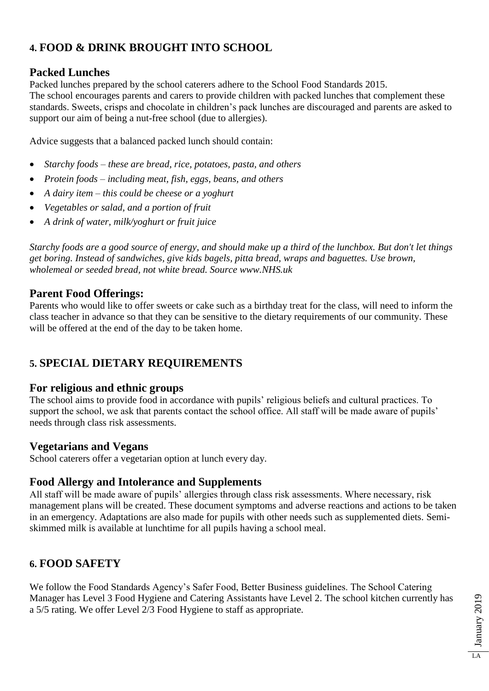# **4. FOOD & DRINK BROUGHT INTO SCHOOL**

## **Packed Lunches**

Packed lunches prepared by the school caterers adhere to the School Food Standards 2015. The school encourages parents and carers to provide children with packed lunches that complement these standards. Sweets, crisps and chocolate in children's pack lunches are discouraged and parents are asked to support our aim of being a nut-free school (due to allergies).

Advice suggests that a balanced packed lunch should contain:

- *Starchy foods – these are bread, rice, potatoes, pasta, and others*
- *Protein foods – including meat, fish, eggs, beans, and others*
- *A dairy item – this could be cheese or a yoghurt*
- *Vegetables or salad, and a portion of fruit*
- *A drink of water, milk/yoghurt or fruit juice*

*Starchy foods are a good source of energy, and should make up a third of the lunchbox. But don't let things get boring. Instead of sandwiches, give kids bagels, pitta bread, wraps and baguettes. Use brown, wholemeal or seeded bread, not white bread. Source www.NHS.uk* 

## **Parent Food Offerings:**

Parents who would like to offer sweets or cake such as a birthday treat for the class, will need to inform the class teacher in advance so that they can be sensitive to the dietary requirements of our community. These will be offered at the end of the day to be taken home.

# **5. SPECIAL DIETARY REQUIREMENTS**

#### **For religious and ethnic groups**

The school aims to provide food in accordance with pupils' religious beliefs and cultural practices. To support the school, we ask that parents contact the school office. All staff will be made aware of pupils' needs through class risk assessments.

## **Vegetarians and Vegans**

School caterers offer a vegetarian option at lunch every day.

## **Food Allergy and Intolerance and Supplements**

All staff will be made aware of pupils' allergies through class risk assessments. Where necessary, risk management plans will be created. These document symptoms and adverse reactions and actions to be taken in an emergency. Adaptations are also made for pupils with other needs such as supplemented diets. Semiskimmed milk is available at lunchtime for all pupils having a school meal.

# **6. FOOD SAFETY**

We follow the Food Standards Agency's Safer Food, Better Business guidelines. The School Catering Manager has Level 3 Food Hygiene and Catering Assistants have Level 2. The school kitchen currently has a 5/5 rating. We offer Level 2/3 Food Hygiene to staff as appropriate.